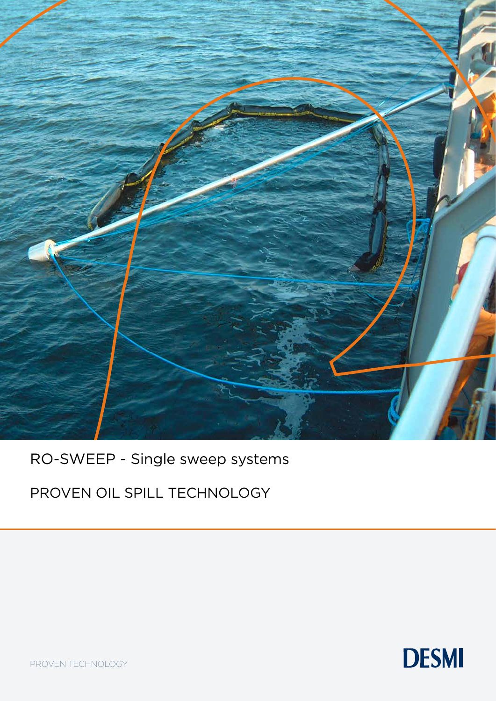

RO-SWEEP - Single sweep systems

PROVEN OIL SPILL TECHNOLOGY